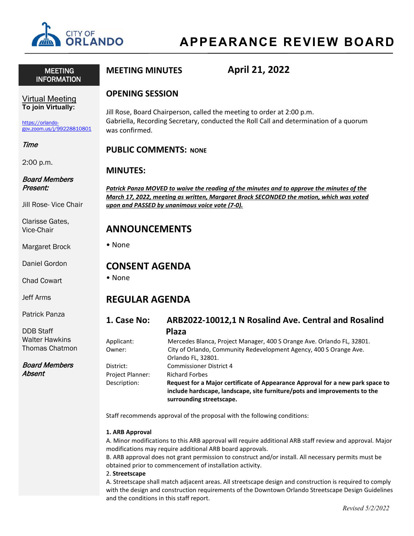

# **APPEARANCE REVIEW BOARD**

 MEETING INFORMATION **MEETING MINUTES April 21, 2022**

# **OPENING SESSION**

Jill Rose, Board Chairperson, called the meeting to order at 2:00 p.m. Gabriella, Recording Secretary, conducted the Roll Call and determination of a quorum was confirmed.

# **PUBLIC COMMENTS: NONE**

# **MINUTES:**

*Patrick Panza MOVED to waive the reading of the minutes and to approve the minutes of the March 17, 2022, meeting as written, Margaret Brock SECONDED the motion, which was voted upon and PASSED by unanimous voice vote (7-0).*

# **ANNOUNCEMENTS**

• None

# **CONSENT AGENDA**

• None

# **REGULAR AGENDA**

**1. Case No: ARB2022-10012,1 N Rosalind Ave. Central and Rosalind Plaza** 

| Applicant:              | Mercedes Blanca, Project Manager, 400 S Orange Ave. Orlando FL, 32801.                                                                                      |
|-------------------------|-------------------------------------------------------------------------------------------------------------------------------------------------------------|
| Owner:                  | City of Orlando, Community Redevelopment Agency, 400 S Orange Ave.                                                                                          |
|                         | Orlando FL, 32801.                                                                                                                                          |
| District:               | <b>Commissioner District 4</b>                                                                                                                              |
| <b>Project Planner:</b> | <b>Richard Forbes</b>                                                                                                                                       |
| Description:            | Request for a Major certificate of Appearance Approval for a new park space to<br>include hardscape, landscape, site furniture/pots and improvements to the |
|                         | surrounding streetscape.                                                                                                                                    |

Staff recommends approval of the proposal with the following conditions:

# **1. ARB Approval**

A. Minor modifications to this ARB approval will require additional ARB staff review and approval. Major modifications may require additional ARB board approvals.

B. ARB approval does not grant permission to construct and/or install. All necessary permits must be obtained prior to commencement of installation activity.

2. **Streetscape** 

A. Streetscape shall match adjacent areas. All streetscape design and construction is required to comply with the design and construction requirements of the Downtown Orlando Streetscape Design Guidelines and the conditions in this staff report.

# Virtual Meeting **To join Virtually:**

[https://orlando](https://orlando-gov.zoom.us/j/99228810801)[gov.zoom.us/j/99228810801](https://orlando-gov.zoom.us/j/99228810801)

# Time

2:00 p.m.

#### Board Members Present:

Jill Rose- Vice Chair

Clarisse Gates, Vice-Chair

Margaret Brock

Daniel Gordon

Chad Cowart

Jeff Arms

Patrick Panza

DDB Staff Walter Hawkins Thomas Chatmon

Board Members Absent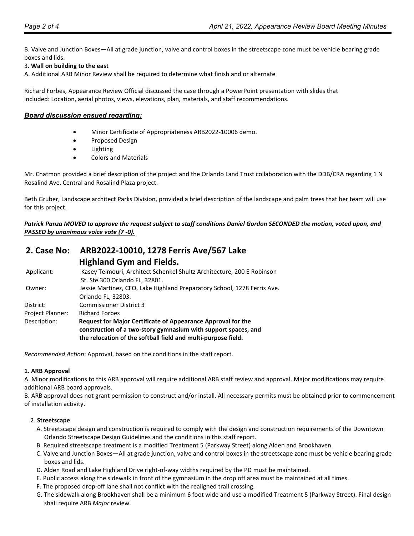B. Valve and Junction Boxes—All at grade junction, valve and control boxes in the streetscape zone must be vehicle bearing grade boxes and lids.

### 3. **Wall on building to the east**

A. Additional ARB Minor Review shall be required to determine what finish and or alternate

Richard Forbes, Appearance Review Official discussed the case through a PowerPoint presentation with slides that included: Location, aerial photos, views, elevations, plan, materials, and staff recommendations.

#### *Board discussion ensued regarding:*

- Minor Certificate of Appropriateness ARB2022-10006 demo.
- Proposed Design
- **Lighting**
- Colors and Materials

Mr. Chatmon provided a brief description of the project and the Orlando Land Trust collaboration with the DDB/CRA regarding 1 N Rosalind Ave. Central and Rosalind Plaza project.

Beth Gruber, Landscape architect Parks Division, provided a brief description of the landscape and palm trees that her team will use for this project.

*Patrick Panza MOVED to approve the request subject to staff conditions Daniel Gordon SECONDED the motion, voted upon, and PASSED by unanimous voice vote (7 -0).*

# **2. Case No: ARB2022-10010, 1278 Ferris Ave/567 Lake Highland Gym and Fields.**

| Applicant:              | Kasey Teimouri, Architect Schenkel Shultz Architecture, 200 E Robinson   |
|-------------------------|--------------------------------------------------------------------------|
|                         | St. Ste 300 Orlando FL, 32801.                                           |
| Owner:                  | Jessie Martinez, CFO, Lake Highland Preparatory School, 1278 Ferris Ave. |
|                         | Orlando FL, 32803.                                                       |
| District:               | <b>Commissioner District 3</b>                                           |
| <b>Project Planner:</b> | <b>Richard Forbes</b>                                                    |
| Description:            | Request for Major Certificate of Appearance Approval for the             |
|                         | construction of a two-story gymnasium with support spaces, and           |
|                         | the relocation of the softball field and multi-purpose field.            |
|                         |                                                                          |

*Recommended Action*: Approval, based on the conditions in the staff report.

#### **1. ARB Approval**

A. Minor modifications to this ARB approval will require additional ARB staff review and approval. Major modifications may require additional ARB board approvals.

B. ARB approval does not grant permission to construct and/or install. All necessary permits must be obtained prior to commencement of installation activity.

#### 2. **Streetscape**

- A. Streetscape design and construction is required to comply with the design and construction requirements of the Downtown Orlando Streetscape Design Guidelines and the conditions in this staff report.
- B. Required streetscape treatment is a modified Treatment 5 (Parkway Street) along Alden and Brookhaven.
- C. Valve and Junction Boxes—All at grade junction, valve and control boxes in the streetscape zone must be vehicle bearing grade boxes and lids.
- D. Alden Road and Lake Highland Drive right-of-way widths required by the PD must be maintained.
- E. Public access along the sidewalk in front of the gymnasium in the drop off area must be maintained at all times.
- F. The proposed drop-off lane shall not conflict with the realigned trail crossing.
- G. The sidewalk along Brookhaven shall be a minimum 6 foot wide and use a modified Treatment 5 (Parkway Street). Final design shall require ARB *Major* review.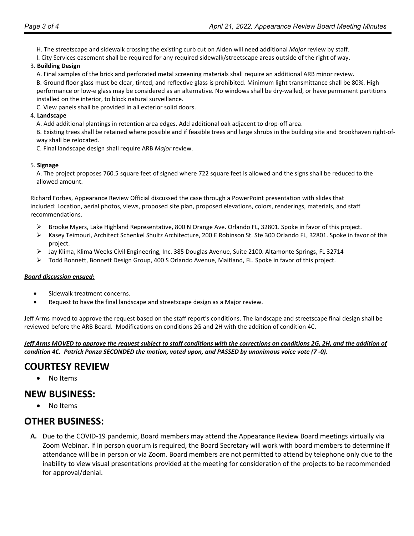- H. The streetscape and sidewalk crossing the existing curb cut on Alden will need additional *Major* review by staff.
- I. City Services easement shall be required for any required sidewalk/streetscape areas outside of the right of way.
- 3. **Building Design** 
	- A. Final samples of the brick and perforated metal screening materials shall require an additional ARB minor review.

B. Ground floor glass must be clear, tinted, and reflective glass is prohibited. Minimum light transmittance shall be 80%. High performance or low-e glass may be considered as an alternative. No windows shall be dry-walled, or have permanent partitions installed on the interior, to block natural surveillance.

C. View panels shall be provided in all exterior solid doors.

#### 4. **Landscape**

A. Add additional plantings in retention area edges. Add additional oak adjacent to drop-off area.

B. Existing trees shall be retained where possible and if feasible trees and large shrubs in the building site and Brookhaven right-ofway shall be relocated.

C. Final landscape design shall require ARB *Major* review.

#### 5. **Signage**

A. The project proposes 760.5 square feet of signed where 722 square feet is allowed and the signs shall be reduced to the allowed amount.

Richard Forbes, Appearance Review Official discussed the case through a PowerPoint presentation with slides that included: Location, aerial photos, views, proposed site plan, proposed elevations, colors, renderings, materials, and staff recommendations.

- $\triangleright$  Brooke Myers, Lake Highland Representative, 800 N Orange Ave. Orlando FL, 32801. Spoke in favor of this project.
- Kasey Teimouri, Architect Schenkel Shultz Architecture, 200 E Robinson St. Ste 300 Orlando FL, 32801. Spoke in favor of this project.
- Jay Klima, Klima Weeks Civil Engineering, Inc. 385 Douglas Avenue, Suite 2100. Altamonte Springs, FL 32714
- Todd Bonnett, Bonnett Design Group, 400 S Orlando Avenue, Maitland, FL. Spoke in favor of this project.

#### *Board discussion ensued:*

- Sidewalk treatment concerns.
- Request to have the final landscape and streetscape design as a Major review.

Jeff Arms moved to approve the request based on the staff report's conditions. The landscape and streetscape final design shall be reviewed before the ARB Board. Modifications on conditions 2G and 2H with the addition of condition 4C.

*Jeff Arms MOVED to approve the request subject to staff conditions with the corrections on conditions 2G, 2H, and the addition of condition 4C. Patrick Panza SECONDED the motion, voted upon, and PASSED by unanimous voice vote (7 -0).*

# **COURTESY REVIEW**

• No Items

# **NEW BUSINESS:**

• No Items

# **OTHER BUSINESS:**

**A.** Due to the COVID-19 pandemic, Board members may attend the Appearance Review Board meetings virtually via Zoom Webinar. If in person quorum is required, the Board Secretary will work with board members to determine if attendance will be in person or via Zoom. Board members are not permitted to attend by telephone only due to the inability to view visual presentations provided at the meeting for consideration of the projects to be recommended for approval/denial.